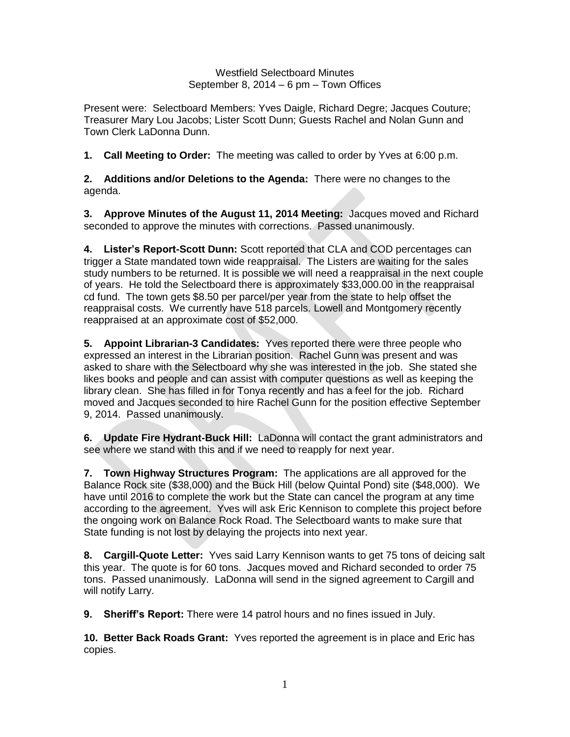Westfield Selectboard Minutes September 8, 2014 – 6 pm – Town Offices

Present were: Selectboard Members: Yves Daigle, Richard Degre; Jacques Couture; Treasurer Mary Lou Jacobs; Lister Scott Dunn; Guests Rachel and Nolan Gunn and Town Clerk LaDonna Dunn.

**1. Call Meeting to Order:** The meeting was called to order by Yves at 6:00 p.m.

**2. Additions and/or Deletions to the Agenda:** There were no changes to the agenda.

**3. Approve Minutes of the August 11, 2014 Meeting:** Jacques moved and Richard seconded to approve the minutes with corrections. Passed unanimously.

**4. Lister's Report-Scott Dunn:** Scott reported that CLA and COD percentages can trigger a State mandated town wide reappraisal. The Listers are waiting for the sales study numbers to be returned. It is possible we will need a reappraisal in the next couple of years. He told the Selectboard there is approximately \$33,000.00 in the reappraisal cd fund. The town gets \$8.50 per parcel/per year from the state to help offset the reappraisal costs. We currently have 518 parcels. Lowell and Montgomery recently reappraised at an approximate cost of \$52,000.

**5. Appoint Librarian-3 Candidates:** Yves reported there were three people who expressed an interest in the Librarian position. Rachel Gunn was present and was asked to share with the Selectboard why she was interested in the job. She stated she likes books and people and can assist with computer questions as well as keeping the library clean. She has filled in for Tonya recently and has a feel for the job. Richard moved and Jacques seconded to hire Rachel Gunn for the position effective September 9, 2014. Passed unanimously.

**6. Update Fire Hydrant-Buck Hill:** LaDonna will contact the grant administrators and see where we stand with this and if we need to reapply for next year.

**7. Town Highway Structures Program:** The applications are all approved for the Balance Rock site (\$38,000) and the Buck Hill (below Quintal Pond) site (\$48,000). We have until 2016 to complete the work but the State can cancel the program at any time according to the agreement. Yves will ask Eric Kennison to complete this project before the ongoing work on Balance Rock Road. The Selectboard wants to make sure that State funding is not lost by delaying the projects into next year.

**8. Cargill-Quote Letter:** Yves said Larry Kennison wants to get 75 tons of deicing salt this year. The quote is for 60 tons. Jacques moved and Richard seconded to order 75 tons. Passed unanimously. LaDonna will send in the signed agreement to Cargill and will notify Larry.

**9. Sheriff's Report:** There were 14 patrol hours and no fines issued in July.

**10. Better Back Roads Grant:** Yves reported the agreement is in place and Eric has copies.